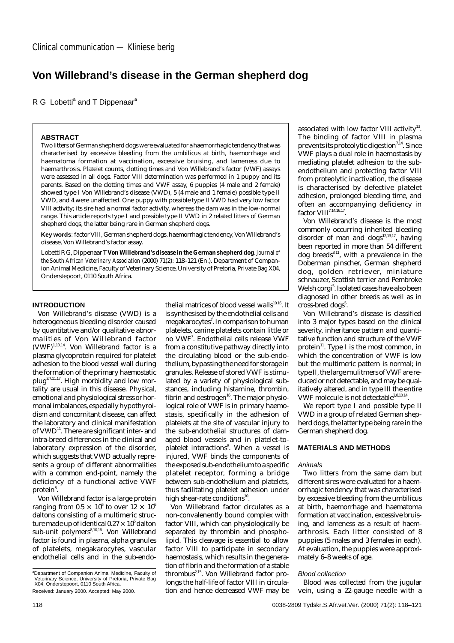# **Von Willebrand's disease in the German shepherd dog**

R G Lobetti<sup>a</sup> and T Dippenaar<sup>a</sup>

## **ABSTRACT**

Two litters of German shepherd dogs were evaluated for a haemorrhagic tendency that was characterised by excessive bleeding from the umbilicus at birth, haemorrhage and haematoma formation at vaccination, excessive bruising, and lameness due to haemarthrosis. Platelet counts, clotting times and Von Willebrand's factor (VWF) assays were assessed in all dogs. Factor VIII determination was performed in 1 puppy and its parents. Based on the clotting times and VWF assay, 6 puppies (4 male and 2 female) showed type I Von Willebrand's disease (VWD), 5 (4 male and 1 female) possible type II VWD, and 4 were unaffected. One puppy with possible type II VWD had very low factor VIII activity; its sire had a normal factor activity, whereas the dam was in the low-normal range. This article reports type I and possible type II VWD in 2 related litters of German shepherd dogs, the latter being rare in German shepherd dogs.

**Key words**: factor VIII, German shepherd dogs, haemorrhagic tendency, Von Willebrand's disease, Von Willebrand's factor assay.

Lobetti R G, Dippenaar T **Von Willebrand's disease in the German shepherd dog**.*Journal of the South African Veterinary Association* (2000) 71(2): 118–121 (En.). Department of Companion Animal Medicine, Faculty of Veterinary Science, University of Pretoria, Private Bag X04, Onderstepoort, 0110 South Africa.

## **INTRODUCTION**

Von Willebrand's disease (VWD) is a heterogeneous bleeding disorder caused by quantitative and/or qualitative abnormalities of Von Willebrand factor  $(VWF)^{1,13,14}$ . Von Willebrand factor is a plasma glycoprotein required for platelet adhesion to the blood vessel wall during the formation of the primary haemostatic plug3,7,11,17. High morbidity and low mortality are usual in this disease. Physical, emotional and physiological stress or hormonal imbalances, especially hypothyroidism and concomitant disease, can affect the laboratory and clinical manifestation of VWD<sup>11</sup>. There are significant inter- and intra-breed differences in the clinical and laboratory expression of the disorder, which suggests that VWD actually represents a group of different abnormalities with a common end-point, namely the deficiency of a functional active VWF protein<sup>8</sup>.

Von Willebrand factor is a large protein ranging from 0.5  $\times$  10<sup>6</sup> to over 12  $\times$  10<sup>6</sup> daltons consisting of a multimeric structure made up of identical 0.27  $\times$  10 $^{\rm 6}$  dalton sub-unit polymers<sup>8,10,16</sup>. Von Willebrand factor is found in plasma, alpha granules of platelets, megakarocytes, vascular endothelial cells and in the sub-endothelial matrices of blood vessel walls $10,16$ . It is synthesised by the endothelial cells and megakarocytes $^7$ . In comparison to human platelets, canine platelets contain little or no VWF<sup>7</sup>. Endothelial cells release VWF from a constitutive pathway directly into the circulating blood or the sub-endothelium, bypassing the need for storage in granules. Release of stored VWF is stimulated by a variety of physiological substances, including histamine, thrombin, fibrin and oestrogen<sup>16</sup>. The major physiological role of VWF is in primary haemostasis, specifically in the adhesion of platelets at the site of vascular injury to the sub-endothelial structures of damaged blood vessels and in platelet-toplatelet interactions<sup>8</sup>. When a vessel is injured, VWF binds the components of the exposed sub-endothelium to a specific platelet receptor, forming a bridge between sub-endothelium and platelets, thus facilitating platelet adhesion under high shear-rate conditions<sup>10</sup>.

Von Willebrand factor circulates as a non-convalenently bound complex with factor VIII, which can physiologically be separated by thrombin and phospholipid. This cleavage is essential to allow factor VIII to participate in secondary haemostasis, which results in the generation of fibrin and the formation of a stable thrombus<sup>2,15</sup>. Von Willebrand factor prolongs the half-life of factor VIII in circulation and hence decreased VWF may be associated with low factor VIII activity $^{13}$ . The binding of factor VIII in plasma prevents its proteolytic digestion<sup>7,14</sup>. Since VWF plays a dual role in haemostasis by mediating platelet adhesion to the subendothelium and protecting factor VIII from proteolytic inactivation, the disease is characterised by defective platelet adhesion, prolonged bleeding time, and often an accompanying deficiency in factor VIII<sup>7,14,16,17</sup>

Von Willebrand's disease is the most commonly occurring inherited bleeding disorder of man and dogs $^{12,13,17}$ , having been reported in more than 54 different dog breeds<sup>8,11</sup>, with a prevalence in the Doberman pinscher, German shepherd dog, golden retriever, miniature schnauzer, Scottish terrier and Pembroke Welsh corgi<sup>5</sup>. Isolated cases have also been diagnosed in other breeds as well as in cross-bred dogs<sup>5</sup>.

Von Willebrand's disease is classified into 3 major types based on the clinical severity, inheritance pattern and quantitative function and structure of the VWF protein $11$ . Type I is the most common, in which the concentration of VWF is low but the multimeric pattern is normal; in type II, the large mulitmers of VWF are reduced or not detectable, and may be qualitatively altered, and in type III the entire VWF molecule is not detectable<sup>2,8,10,14</sup>.

We report type I and possible type II VWD in a group of related German shepherd dogs, the latter type being rare in the German shepherd dog.

## **MATERIALS AND METHODS**

#### Animals

Two litters from the same dam but different sires were evaluated for a haemorrhagic tendency that was characterised by excessive bleeding from the umbilicus at birth, haemorrhage and haematoma formation at vaccination, excessive bruising, and lameness as a result of haemarthrosis. Each litter consisted of 8 puppies (5 males and 3 females in each). At evaluation, the puppies were approximately 6–8 weeks of age.

#### Blood collection

Blood was collected from the jugular vein, using a 22-gauge needle with a

<sup>&</sup>lt;sup>a</sup>Department of Companion Animal Medicine, Faculty of Veterinary Science, University of Pretoria, Private Bag X04, Onderstepoort, 0110 South Africa. Received: January 2000. Accepted: May 2000.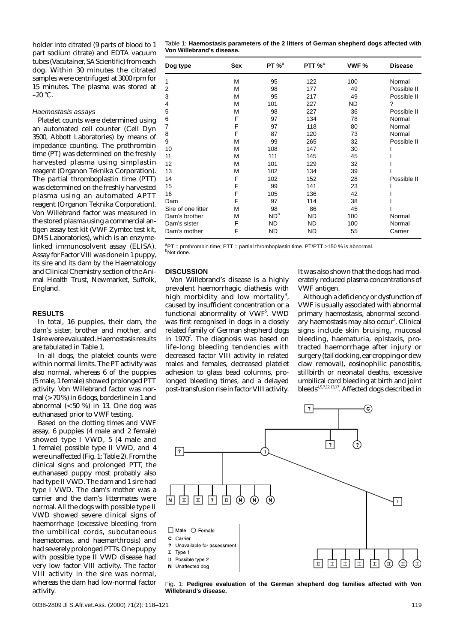holder into citrated (9 parts of blood to 1 part sodium citrate) and EDTA vacuum tubes (Vacutainer, SA Scientific) from each dog. Within 30 minutes the citrated samples were centrifuged at 3000 rpm for 15 minutes. The plasma was stored at  $-20$  °C.

## Haemostasis assays

Platelet counts were determined using an automated cell counter (Cell Dyn 3500, Abbott Laboratories) by means of impedance counting. The prothrombin time (PT) was determined on the freshly harvested plasma using simplastin reagent (Organon Teknika Corporation). The partial thromboplastin time (PTT) was determined on the freshly harvested plasma using an automated APTT reagent (Organon Teknika Corporation). Von Willebrand factor was measured in the stored plasma using a commercial antigen assay test kit (VWF Zymtec test kit, DMS Laboratories), which is an enzymelinked immunosolvent assay (ELISA). Assay for Factor VIII was done in 1 puppy, its sire and its dam by the Haematology and Clinical Chemistry section of the Animal Health Trust, Newmarket, Suffolk, England.

## **RESULTS**

In total, 16 puppies, their dam, the dam's sister, brother and mother, and 1 sire were evaluated. Haemostasis results are tabulated in Table 1.

In all dogs, the platelet counts were within normal limits. The PT activity was also normal, whereas 6 of the puppies (5 male, 1 female) showed prolonged PTT activity. Von Willebrand factor was normal (>70 %) in 6 dogs, borderline in 1 and abnormal  $( $50\%$ )$  in 13. One dog was euthanased prior to VWF testing.

Based on the clotting times and VWF assay, 6 puppies (4 male and 2 female) showed type I VWD, 5 (4 male and 1 female) possible type II VWD, and 4 were unaffected (Fig. 1; Table 2). From the clinical signs and prolonged PTT, the euthanased puppy most probably also had type II VWD. The dam and 1 sire had type I VWD. The dam's mother was a carrier and the dam's littermates were normal. All the dogs with possible type II VWD showed severe clinical signs of haemorrhage (excessive bleeding from the umbilical cords, subcutaneous haematomas, and haemarthrosis) and had severely prolonged PTTs. One puppy with possible type II VWD disease had very low factor VIII activity. The factor VIII activity in the sire was normal, whereas the dam had low-normal factor activity.

| Table 1: Haemostasis parameters of the 2 litters of German shepherd dogs affected with |  |  |
|----------------------------------------------------------------------------------------|--|--|
| Von Willebrand's disease.                                                              |  |  |

| Dog type           | Sex | $PT %^a$  | PTT $\%^a$ | VWF %     | <b>Disease</b> |
|--------------------|-----|-----------|------------|-----------|----------------|
| 1                  | M   | 95        | 122        | 100       | Normal         |
| 2                  | М   | 98        | 177        | 49        | Possible II    |
| 3                  | M   | 95        | 217        | 49        | Possible II    |
| 4                  | М   | 101       | 227        | <b>ND</b> | ?              |
| 5                  | М   | 98        | 227        | 36        | Possible II    |
| 6                  | F   | 97        | 134        | 78        | Normal         |
| $\overline{7}$     | F   | 97        | 118        | 80        | Normal         |
| 8                  | F   | 87        | 120        | 73        | Normal         |
| 9                  | M   | 99        | 265        | 32        | Possible II    |
| 10                 | M   | 108       | 147        | 30        |                |
| 11                 | M   | 111       | 145        | 45        |                |
| 12                 | M   | 101       | 129        | 32        |                |
| 13                 | М   | 102       | 134        | 39        |                |
| 14                 | F   | 102       | 152        | 28        | Possible II    |
| 15                 | F   | 99        | 141        | 23        |                |
| 16                 | F   | 105       | 136        | 42        |                |
| Dam                | F   | 97        | 114        | 38        |                |
| Sire of one litter | М   | 98        | 86         | 45        |                |
| Dam's brother      | M   | $ND^b$    | <b>ND</b>  | 100       | Normal         |
| Dam's sister       | F   | <b>ND</b> | <b>ND</b>  | 100       | Normal         |
| Dam's mother       | F   | <b>ND</b> | ND         | 55        | Carrier        |

 ${}^{a}$ PT = prothrombin time; PTT = partial thromboplastin time. PT/PTT >150 % is abnormal. <sup>b</sup>Not done.

## **DISCUSSION**

Von Willebrand's disease is a highly prevalent haemorrhagic diathesis with high morbidity and low mortality $^{\rm 4}$ , caused by insufficient concentration or a functional abnormality of VWF<sup>5</sup>. VWD was first recognised in dogs in a closely related family of German shepherd dogs in 1970<sup>7</sup>. The diagnosis was based on life-long bleeding tendencies with decreased factor VIII activity in related males and females, decreased platelet adhesion to glass bead columns, prolonged bleeding times, and a delayed post-transfusion rise in factor VIII activity. It was also shown that the dogs had moderately reduced plasma concentrations of VWF antigen.

Although a deficiency or dysfunction of VWF is usually associated with abnormal primary haemostasis, abnormal secondary haemostasis may also occur<sup>2</sup>. Clinical signs include skin bruising, mucosal bleeding, haematuria, epistaxis, protracted haemorrhage after injury or surgery (tail docking, ear cropping or dew claw removal), eosinophilic panostitis, stillbirth or neonatal deaths, excessive umbilical cord bleeding at birth and joint bleeds<sup>4,5,7,12,13,17</sup>. Affected dogs described in



Fig. 1: **Pedigree evaluation of the German shepherd dog families affected with Von Willebrand's disease.**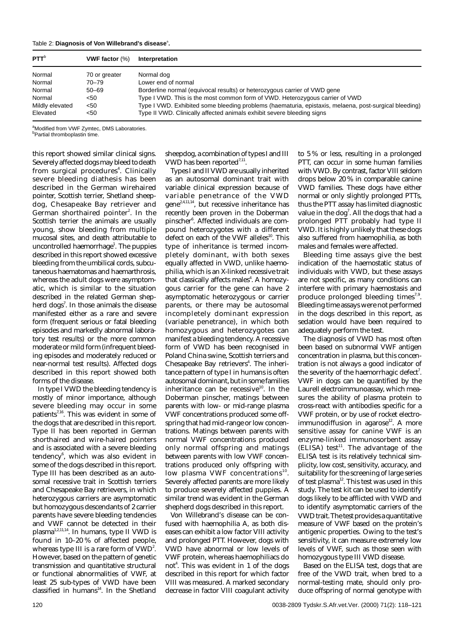| Table 2: Diagnosis of Von Willebrand's disease <sup>3</sup> . |  |  |  |
|---------------------------------------------------------------|--|--|--|
|---------------------------------------------------------------|--|--|--|

| PTT <sup>b</sup> | <b>VWF factor</b> $(\%)$ | Interpretation                                                                                        |
|------------------|--------------------------|-------------------------------------------------------------------------------------------------------|
| Normal           | 70 or greater            | Normal dog                                                                                            |
| Normal           | 70–79                    | Lower end of normal                                                                                   |
| Normal           | $50 - 69$                | Borderline normal (equivocal results) or heterozygous carrier of VWD gene                             |
| Normal           | <50                      | Type I VWD. This is the most common form of VWD. Heterozygous carrier of VWD                          |
| Mildly elevated  | <50                      | Type I VWD. Exhibited some bleeding problems (haematuria, epistaxis, melaena, post-surgical bleeding) |
| Elevated         | <50                      | Type II VWD. Clinically affected animals exhibit severe bleeding signs                                |

<sup>a</sup>Modified from VWF Zymtec, DMS Laboratories.

<sup>b</sup>Partial thromboplastin time.

this report showed similar clinical signs. Severely affected dogs may bleed to death from surgical procedures $^4$ . Clinically severe bleeding diathesis has been described in the German wirehaired pointer, Scottish terrier, Shetland sheepdog, Chesapeake Bay retriever and German shorthaired pointer<sup>2</sup>. In the Scottish terrier the animals are usually young, show bleeding from multiple mucosal sites, and death attributable to uncontrolled haemorrhage<sup>1</sup>. The puppies described in this report showed excessive bleeding from the umbilical cords, subcutaneous haematomas and haemarthrosis, whereas the adult dogs were asymptomatic, which is similar to the situation described in the related German shepherd dogs<sup>7</sup>. In those animals the disease manifested either as a rare and severe form (frequent serious or fatal bleeding episodes and markedly abnormal laboratory test results) or the more common moderate or mild form (infrequent bleeding episodes and moderately reduced or near-normal test results). Affected dogs described in this report showed both forms of the disease.

In type I VWD the bleeding tendency is mostly of minor importance, although severe bleeding may occur in some patients<sup>7,16</sup>. This was evident in some of the dogs that are described in this report. Type II has been reported in German shorthaired and wire-haired pointers and is associated with a severe bleeding tendency<sup>6</sup>, which was also evident in some of the dogs described in this report. Type III has been described as an autosomal recessive trait in Scottish terriers and Chesapeake Bay retrievers, in which heterozygous carriers are asymptomatic but homozygous descendants of 2 carrier parents have severe bleeding tendencies and VWF cannot be detected in their plasma1,2,11,14. In humans, type II VWD is found in 10–20 % of affected people, whereas type III is a rare form of VWD<sup>2</sup>. However, based on the pattern of genetic transmission and quantitative structural or functional abnormalities of VWF, at least 25 sub-types of VWD have been classified in humans<sup>14</sup>. In the Shetland

sheepdog, a combination of types I and III VWD has been reported $^{7,11}$ .

Types I and II VWD are usually inherited as an autosomal dominant trait with variable clinical expression because of variable penetrance of the VWD gene2,4,11,14, but recessive inheritance has recently been proven in the Doberman pinscher<sup>6</sup>. Affected individuals are compound heterozygotes with a different defect on each of the VWF alleles $10$ . This type of inheritance is termed incompletely dominant, with both sexes equally affected in VWD, unlike haemophilia, which is an X-linked recessive trait that classically affects males<sup>4</sup>. A homozygous carrier for the gene can have 2 asymptomatic heterozygous or carrier parents, or there may be autosomal incompletely dominant expression (variable penetrance), in which both homozygous and heterozygotes can manifest a bleeding tendency. A recessive form of VWD has been recognised in Poland China swine, Scottish terriers and Chesapeake Bay retrievers<sup>4</sup>. The inheritance pattern of type I in humans is often autosomal dominant, but in some families inheritance can be recessive $10$ . In the Doberman pinscher, matings between parents with low- or mid-range plasma VWF concentrations produced some offspring that had mid-range or low concentrations. Matings between parents with normal VWF concentrations produced only normal offspring and matings between parents with low VWF concentrations produced only offspring with low plasma VWF concentrations $^{10}$ . Severely affected parents are more likely to produce severely affected puppies. A similar trend was evident in the German shepherd dogs described in this report.

Von Willebrand's disease can be confused with haemophilia A, as both diseases can exhibit a low factor VIII activity and prolonged PTT. However, dogs with VWD have abnormal or low levels of VWF protein, whereas haemophiliacs do not<sup>4</sup>. This was evident in 1 of the dogs described in this report for which factor VIII was measured. A marked secondary decrease in factor VIII coagulant activity to 5 % or less, resulting in a prolonged PTT, can occur in some human families with VWD. By contrast, factor VIII seldom drops below 20 % in comparable canine VWD families. These dogs have either normal or only slightly prolonged PTTs, thus the PTT assay has limited diagnostic value in the dog<sup>7</sup>. All the dogs that had a prolonged PTT probably had type II VWD. It is highly unlikely that these dogs also suffered from haemophilia, as both males and females were affected.

Bleeding time assays give the best indication of the haemostatic status of individuals with VWD, but these assays are not specific, as many conditions can interfere with primary haemostasis and produce prolonged bleeding times $7.9$ . Bleeding time assays were not performed in the dogs described in this report, as sedation would have been required to adequately perform the test.

The diagnosis of VWD has most often been based on subnormal VWF antigen concentration in plasma, but this concentration is not always a good indicator of the severity of the haemorrhagic defect<sup>7</sup>. VWF in dogs can be quantified by the Laurell electroimmunoassay, which measures the ability of plasma protein to cross-react with antibodies specific for a VWF protein, or by use of rocket electro $immunodiffusion$  in agarose $^{12}$ . A more sensitive assay for canine VWF is an enzyme-linked immunosorbent assay  $(ELISA)$  test<sup>11</sup>. The advantage of the ELISA test is its relatively technical simplicity, low cost, sensitivity, accuracy, and suitability for the screening of large series of test plasma<sup>12</sup>. This test was used in this study. The test kit can be used to identify dogs likely to be afflicted with VWD and to identify asymptomatic carriers of the VWD trait. The test provides a quantitative measure of VWF based on the protein's antigenic properties. Owing to the test's sensitivity, it can measure extremely low levels of VWF, such as those seen with homozygous type III VWD disease.

Based on the ELISA test, dogs that are free of the VWD trait, when bred to a normal-testing mate, should only produce offspring of normal genotype with